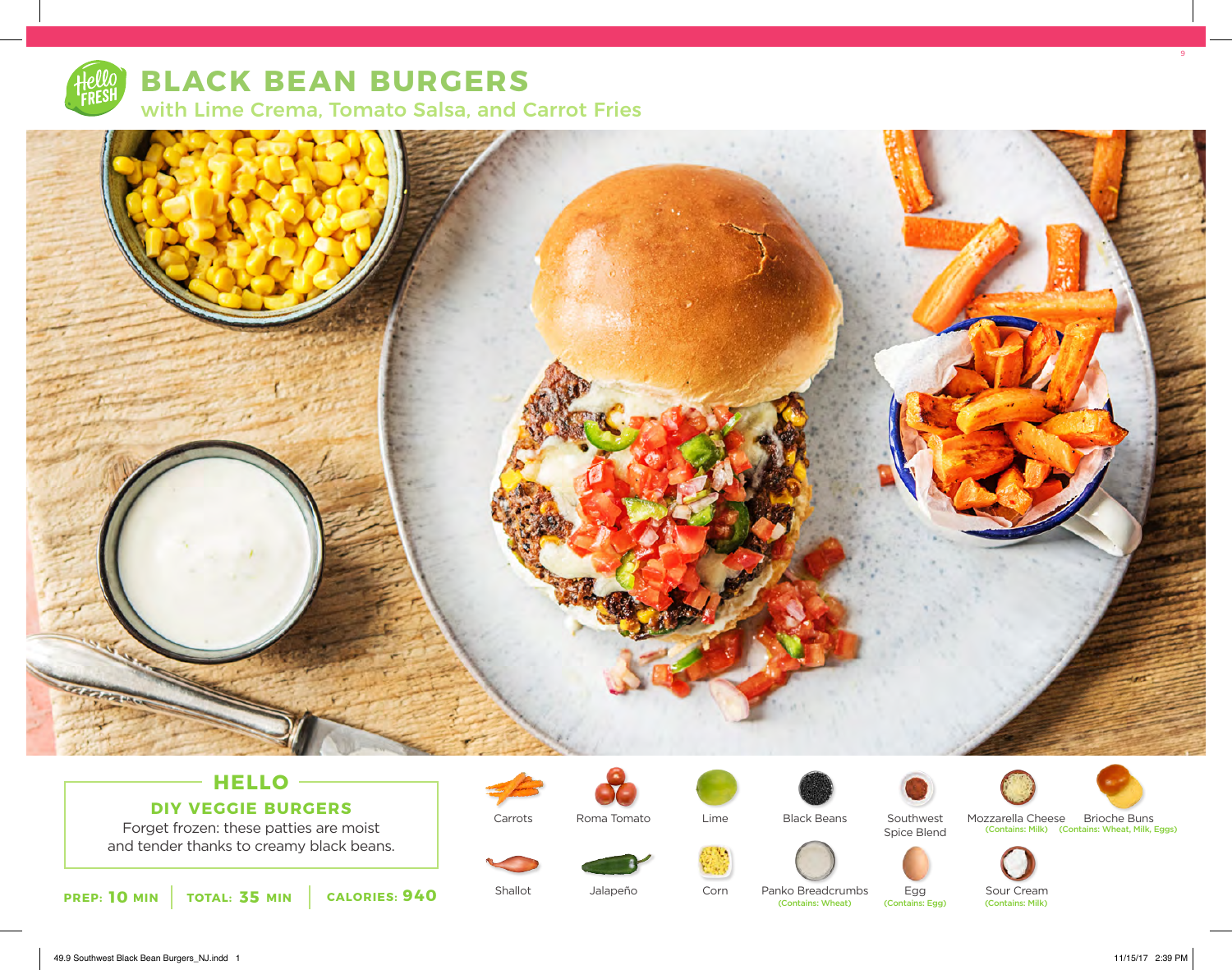

# **BLACK BEAN BURGERS** with Lime Crema, Tomato Salsa, and Carrot Fries



### **HELLO DIY VEGGIE BURGERS**

Forget frozen: these patties are moist and tender thanks to creamy black beans.



Carrots

Shallot



Jalapeño

Roma Tomato



Corn



Black Beans

Panko Breadcrumbs<br>
(Contains: Wheat)



Spice Blend



Mozzarella Cheese Brioche Buns (Contains: Milk) (Contains: Wheat, Milk, Eggs)



Egg<br>(Contains: Egg)

Sour Cream<br>(Contains: Milk)

49.9 Southwest Black Bean Burgers\_NJ.indd 1 11/15/17 2:39 PM

9